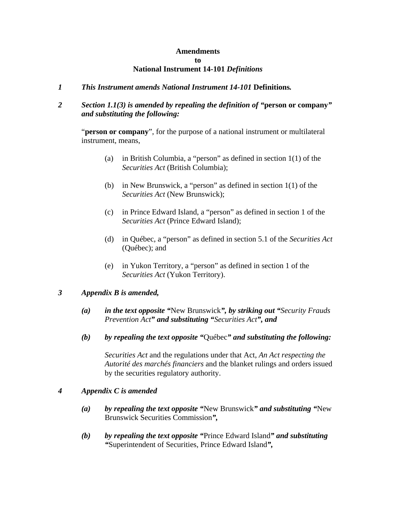#### **Amendments to National Instrument 14-101** *Definitions*

### *1 This Instrument amends National Instrument 14-101* **Definitions***.*

# *2 Section 1.1(3) is amended by repealing the definition of "***person or company***" and substituting the following:*

"**person or company**", for the purpose of a national instrument or multilateral instrument, means,

- (a) in British Columbia, a "person" as defined in section 1(1) of the *Securities Act* (British Columbia);
- (b) in New Brunswick, a "person" as defined in section 1(1) of the *Securities Act* (New Brunswick);
- (c) in Prince Edward Island, a "person" as defined in section 1 of the *Securities Act* (Prince Edward Island);
- (d) in Québec, a "person" as defined in section 5.1 of the *Securities Act* (Québec); and
- (e) in Yukon Territory, a "person" as defined in section 1 of the *Securities Act* (Yukon Territory).

#### *3 Appendix B is amended,*

- *(a) in the text opposite "*New Brunswick*", by striking out "Security Frauds Prevention Act" and substituting "Securities Act", and*
- *(b) by repealing the text opposite "*Québec*" and substituting the following:*

*Securities Act* and the regulations under that Act, *An Act respecting the Autorité des marchés financiers* and the blanket rulings and orders issued by the securities regulatory authority.

#### *4 Appendix C is amended*

- *(a) by repealing the text opposite "*New Brunswick*" and substituting "*New Brunswick Securities Commission*",*
- *(b) by repealing the text opposite "*Prince Edward Island*" and substituting "*Superintendent of Securities, Prince Edward Island*",*